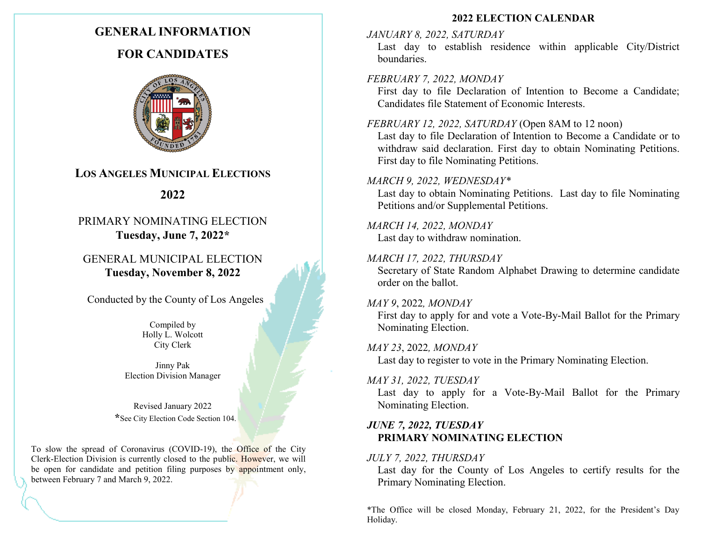# **GENERAL INFORMATION**

# **FOR CANDIDATES**



# **LOS ANGELES MUNICIPAL ELECTIONS**

# **2022**

# PRIMARY NOMINATING ELECTION **Tuesday, June 7, 2022\***

GENERAL MUNICIPAL ELECTION **Tuesday, November 8, 2022**

Conducted by the County of Los Angeles

Compiled by Holly L. Wolcott City Clerk

Jinny Pak Election Division Manager

Revised January 2022 **\***See City Election Code Section 104.

To slow the spread of Coronavirus (COVID-19), the Office of the City Clerk-Election Division is currently closed to the public. However, we will be open for candidate and petition filing purposes by appointment only, between February 7 and March 9, 2022.

#### **2022 ELECTION CALENDAR**

## *JANUARY 8, 2022, SATURDAY*

Last day to establish residence within applicable City/District boundaries.

### *FEBRUARY 7, 2022, MONDAY*

First day to file Declaration of Intention to Become a Candidate; Candidates file Statement of Economic Interests.

### *FEBRUARY 12, 2022, SATURDAY* (Open 8AM to 12 noon)

Last day to file Declaration of Intention to Become a Candidate or to withdraw said declaration. First day to obtain Nominating Petitions. First day to file Nominating Petitions.

#### *MARCH 9, 2022, WEDNESDAY\**

Last day to obtain Nominating Petitions. Last day to file Nominating Petitions and/or Supplemental Petitions.

#### *MARCH 14, 2022, MONDAY* Last day to withdraw nomination.

### *MARCH 17, 2022, THURSDAY*

Secretary of State Random Alphabet Drawing to determine candidate order on the ballot.

### *MAY 9*, 2022*, MONDAY*

First day to apply for and vote a Vote-By-Mail Ballot for the Primary Nominating Election.

### *MAY 23*, 2022*, MONDAY*

Last day to register to vote in the Primary Nominating Election.

### *MAY 31, 2022, TUESDAY*

Last day to apply for a Vote-By-Mail Ballot for the Primary Nominating Election.

# *JUNE 7, 2022, TUESDAY* **PRIMARY NOMINATING ELECTION**

### *JULY 7, 2022, THURSDAY*

Last day for the County of Los Angeles to certify results for the Primary Nominating Election.

\*The Office will be closed Monday, February 21, 2022, for the President's Day Holiday.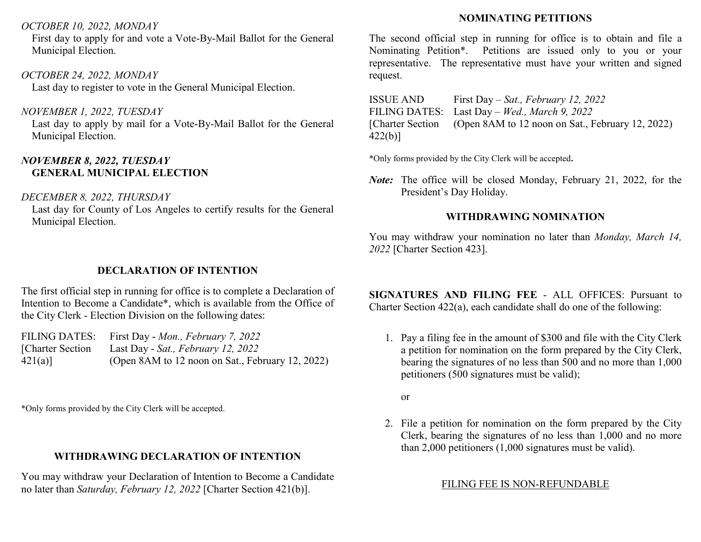### *OCTOBER 10, 2022, MONDAY*

First day to apply for and vote a Vote-By-Mail Ballot for the General Municipal Election.

### *OCTOBER 24, 2022, MONDAY*

Last day to register to vote in the General Municipal Election.

*NOVEMBER 1, 2022, TUESDAY*

Last day to apply by mail for a Vote-By-Mail Ballot for the General Municipal Election.

## *NOVEMBER 8, 2022, TUESDAY* **GENERAL MUNICIPAL ELECTION**

### *DECEMBER 8, 2022, THURSDAY*

Last day for County of Los Angeles to certify results for the General Municipal Election.

## **DECLARATION OF INTENTION**

The first official step in running for office is to complete a Declaration of Intention to Become a Candidate\*, which is available from the Office of the City Clerk - Election Division on the following dates:

|                   | FILING DATES: First Day - Mon., February 7, 2022 |
|-------------------|--------------------------------------------------|
| [Charter Section] | Last Day - Sat., February 12, 2022               |
| $421(a)$ ]        | (Open 8AM to 12 noon on Sat., February 12, 2022) |

\*Only forms provided by the City Clerk will be accepted.

# **WITHDRAWING DECLARATION OF INTENTION**

You may withdraw your Declaration of Intention to Become a Candidate no later than *Saturday, February 12, 2022* [Charter Section 421(b)].

# **NOMINATING PETITIONS**

The second official step in running for office is to obtain and file a Nominating Petition\*. Petitions are issued only to you or your representative. The representative must have your written and signed request.

ISSUE AND FILING DATES: [Charter Section 422(b)] First Day – *Sat., February 12, 2022* Last Day – *Wed., March 9, 2022* (Open 8AM to 12 noon on Sat., February 12, 2022)

\*Only forms provided by the City Clerk will be accepted**.**

*Note:* The office will be closed Monday, February 21, 2022, for the President's Day Holiday.

# **WITHDRAWING NOMINATION**

You may withdraw your nomination no later than *Monday, March 14, 2022* [Charter Section 423].

**SIGNATURES AND FILING FEE** - ALL OFFICES: Pursuant to Charter Section 422(a), each candidate shall do one of the following:

1. Pay a filing fee in the amount of \$300 and file with the City Clerk a petition for nomination on the form prepared by the City Clerk, bearing the signatures of no less than 500 and no more than 1,000 petitioners (500 signatures must be valid);

or

2. File a petition for nomination on the form prepared by the City Clerk, bearing the signatures of no less than 1,000 and no more than 2,000 petitioners (1,000 signatures must be valid).

## FILING FEE IS NON-REFUNDABLE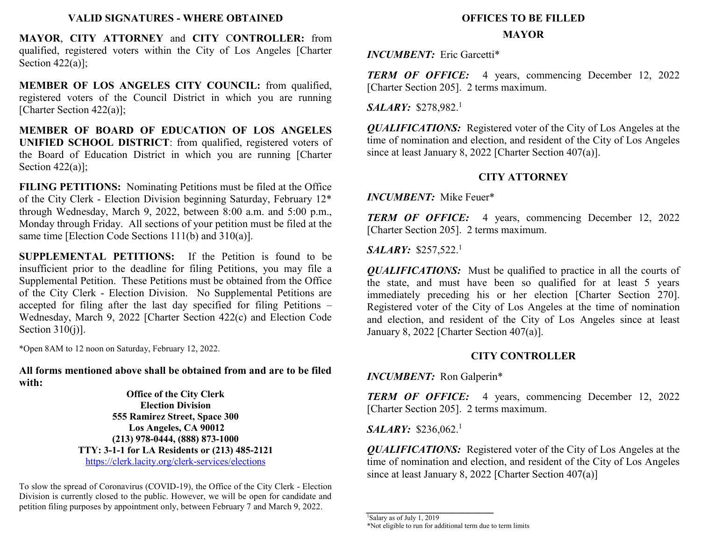#### **VALID SIGNATURES - WHERE OBTAINED**

**MAYOR**, **CITY ATTORNEY** and **CITY** C**ONTROLLER:** from qualified, registered voters within the City of Los Angeles [Charter Section 422(a)];

**MEMBER OF LOS ANGELES CITY COUNCIL:** from qualified, registered voters of the Council District in which you are running [Charter Section 422(a)];

**MEMBER OF BOARD OF EDUCATION OF LOS ANGELES UNIFIED SCHOOL DISTRICT**: from qualified, registered voters of the Board of Education District in which you are running [Charter Section 422(a)];

**FILING PETITIONS:** Nominating Petitions must be filed at the Office of the City Clerk - Election Division beginning Saturday, February 12\* through Wednesday, March 9, 2022, between 8:00 a.m. and 5:00 p.m., Monday through Friday. All sections of your petition must be filed at the same time [Election Code Sections 111(b) and 310(a)].

**SUPPLEMENTAL PETITIONS:** If the Petition is found to be insufficient prior to the deadline for filing Petitions, you may file a Supplemental Petition. These Petitions must be obtained from the Office of the City Clerk - Election Division. No Supplemental Petitions are accepted for filing after the last day specified for filing Petitions – Wednesday, March 9, 2022 [Charter Section 422(c) and Election Code Section  $310(i)$ ].

\*Open 8AM to 12 noon on Saturday, February 12, 2022.

**All forms mentioned above shall be obtained from and are to be filed with:**

> **Office of the City Clerk Election Division 555 Ramirez Street, Space 300 Los Angeles, CA 90012 (213) 978-0444, (888) 873-1000 TTY: 3-1-1 for LA Residents or (213) 485-2121** <https://clerk.lacity.org/clerk-services/elections>

To slow the spread of Coronavirus (COVID-19), the Office of the City Clerk - Election Division is currently closed to the public. However, we will be open for candidate and petition filing purposes by appointment only, between February 7 and March 9, 2022.

# **OFFICES TO BE FILLED**

#### **MAYOR**

*INCUMBENT:* Eric Garcetti\*

*TERM OF OFFICE:* 4 years, commencing December 12, 2022 [Charter Section 205]. 2 terms maximum.

*SALARY:* \$278,982.<sup>1</sup>

*QUALIFICATIONS:* Registered voter of the City of Los Angeles at the time of nomination and election, and resident of the City of Los Angeles since at least January 8, 2022 [Charter Section 407(a)].

### **CITY ATTORNEY**

*INCUMBENT:* Mike Feuer\*

*TERM OF OFFICE:* 4 years, commencing December 12, 2022 [Charter Section 205]. 2 terms maximum.

*SALARY:* \$257,522.<sup>1</sup>

*QUALIFICATIONS:* Must be qualified to practice in all the courts of the state, and must have been so qualified for at least 5 years immediately preceding his or her election [Charter Section 270]. Registered voter of the City of Los Angeles at the time of nomination and election, and resident of the City of Los Angeles since at least January 8, 2022 [Charter Section 407(a)].

### **CITY CONTROLLER**

*INCUMBENT:* Ron Galperin\*

*TERM OF OFFICE:* 4 years, commencing December 12, 2022 [Charter Section 205]. 2 terms maximum.

*SALARY:* \$236,062.<sup>1</sup>

*QUALIFICATIONS:* Registered voter of the City of Los Angeles at the time of nomination and election, and resident of the City of Los Angeles since at least January 8, 2022 [Charter Section 407(a)]

 $\frac{1}{1}$ Salary as of July 1, 2019

*\_\_\_\_\_\_\_\_\_\_\_\_\_\_\_\_\_\_\_\_\_\_\_\_*

<sup>\*</sup>Not eligible to run for additional term due to term limits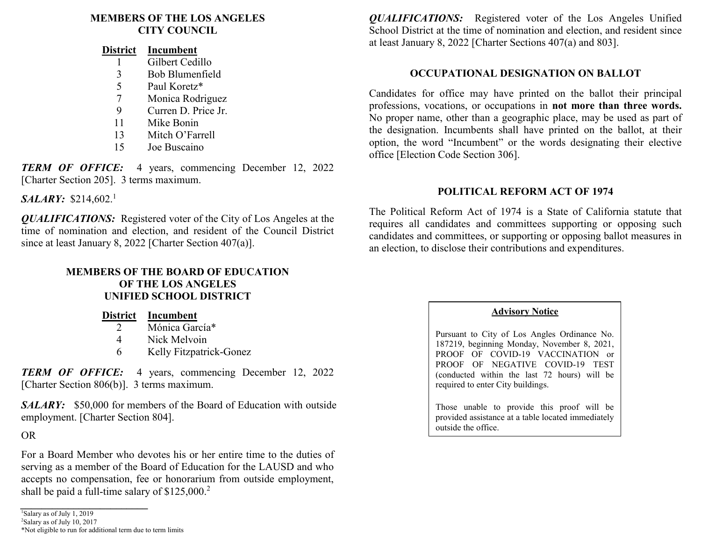### **MEMBERS OF THE LOS ANGELES CITY COUNCIL**

| District | Incumbent           |
|----------|---------------------|
|          | Gilbert Cedillo     |
| 3        | Bob Blumenfield     |
| 5        | Paul Koretz*        |
| 7        | Monica Rodriguez    |
| 9        | Curren D. Price Jr. |
| 11       | Mike Bonin          |
| 13       | Mitch O'Farrell     |
| 15       | Joe Buscaino        |
|          |                     |

*TERM OF OFFICE:* 4 years, commencing December 12, 2022 [Charter Section 205]. 3 terms maximum.

*SALARY:* \$214,602.<sup>1</sup>

*QUALIFICATIONS:* Registered voter of the City of Los Angeles at the time of nomination and election, and resident of the Council District since at least January 8, 2022 [Charter Section 407(a)].

## **MEMBERS OF THE BOARD OF EDUCATION OF THE LOS ANGELES UNIFIED SCHOOL DISTRICT**

|               | District Incumbent      |
|---------------|-------------------------|
| $\mathcal{L}$ | Mónica García*          |
| 4             | Nick Melvoin            |
| 6             | Kelly Fitzpatrick-Gonez |

*TERM OF OFFICE:* 4 years, commencing December 12, 2022 [Charter Section 806(b)]. 3 terms maximum.

**SALARY:** \$50,000 for members of the Board of Education with outside employment. [Charter Section 804].

OR

For a Board Member who devotes his or her entire time to the duties of serving as a member of the Board of Education for the LAUSD and who accepts no compensation, fee or honorarium from outside employment, shall be paid a full-time salary of  $$125,000.<sup>2</sup>$ 

*\_\_\_\_\_\_\_\_\_\_\_\_\_\_\_\_\_\_\_\_\_\_\_\_* <sup>1</sup>Salary as of July 1, 2019

<sup>2</sup>Salary as of July 10, 2017

\*Not eligible to run for additional term due to term limits

*QUALIFICATIONS:* Registered voter of the Los Angeles Unified School District at the time of nomination and election, and resident since at least January 8, 2022 [Charter Sections 407(a) and 803].

### **OCCUPATIONAL DESIGNATION ON BALLOT**

Candidates for office may have printed on the ballot their principal professions, vocations, or occupations in **not more than three words.** No proper name, other than a geographic place, may be used as part of the designation. Incumbents shall have printed on the ballot, at their option, the word "Incumbent" or the words designating their elective office [Election Code Section 306].

### **POLITICAL REFORM ACT OF 1974**

The Political Reform Act of 1974 is a State of California statute that requires all candidates and committees supporting or opposing such candidates and committees, or supporting or opposing ballot measures in an election, to disclose their contributions and expenditures.

### **Advisory Notice**

Pursuant to City of Los Angles Ordinance No. 187219, beginning Monday, November 8, 2021, PROOF OF COVID-19 VACCINATION or PROOF OF NEGATIVE COVID-19 TEST (conducted within the last 72 hours) will be required to enter City buildings.

Those unable to provide this proof will be provided assistance at a table located immediately outside the office.